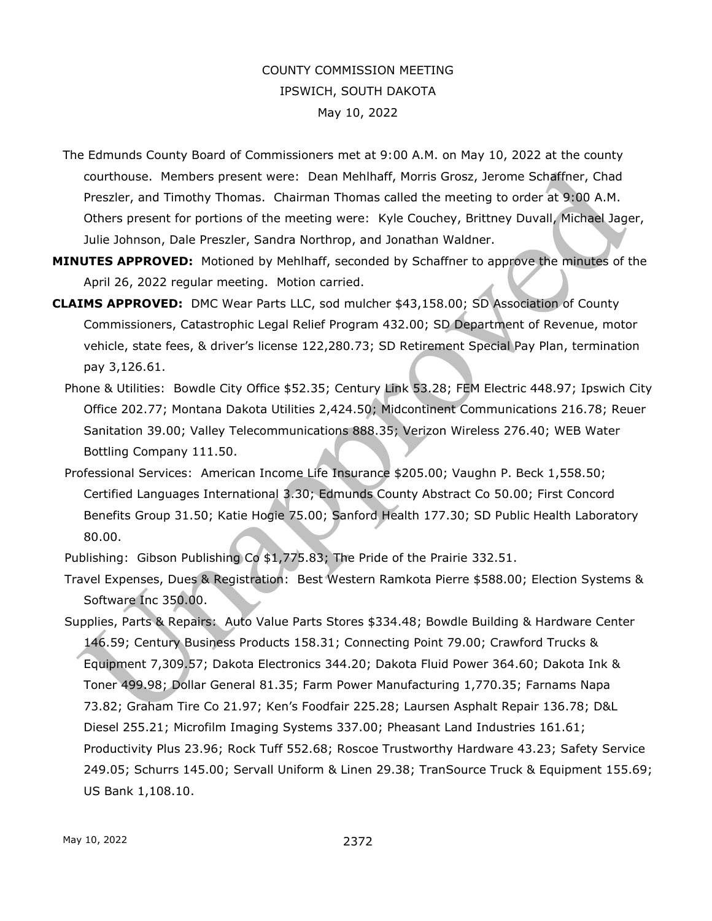## COUNTY COMMISSION MEETING IPSWICH, SOUTH DAKOTA May 10, 2022

- The Edmunds County Board of Commissioners met at 9:00 A.M. on May 10, 2022 at the county courthouse. Members present were: Dean Mehlhaff, Morris Grosz, Jerome Schaffner, Chad Preszler, and Timothy Thomas. Chairman Thomas called the meeting to order at 9:00 A.M. Others present for portions of the meeting were: Kyle Couchey, Brittney Duvall, Michael Jager, Julie Johnson, Dale Preszler, Sandra Northrop, and Jonathan Waldner.
- **MINUTES APPROVED:** Motioned by Mehlhaff, seconded by Schaffner to approve the minutes of the April 26, 2022 regular meeting. Motion carried.
- **CLAIMS APPROVED:** DMC Wear Parts LLC, sod mulcher \$43,158.00; SD Association of County Commissioners, Catastrophic Legal Relief Program 432.00; SD Department of Revenue, motor vehicle, state fees, & driver's license 122,280.73; SD Retirement Special Pay Plan, termination pay 3,126.61.
	- Phone & Utilities: Bowdle City Office \$52.35; Century Link 53.28; FEM Electric 448.97; Ipswich City Office 202.77; Montana Dakota Utilities 2,424.50; Midcontinent Communications 216.78; Reuer Sanitation 39.00; Valley Telecommunications 888.35; Verizon Wireless 276.40; WEB Water Bottling Company 111.50.
	- Professional Services: American Income Life Insurance \$205.00; Vaughn P. Beck 1,558.50; Certified Languages International 3.30; Edmunds County Abstract Co 50.00; First Concord Benefits Group 31.50; Katie Hogie 75.00; Sanford Health 177.30; SD Public Health Laboratory 80.00.
	- Publishing: Gibson Publishing Co \$1,775.83; The Pride of the Prairie 332.51.
	- Travel Expenses, Dues & Registration: Best Western Ramkota Pierre \$588.00; Election Systems & Software Inc 350.00.
	- Supplies, Parts & Repairs: Auto Value Parts Stores \$334.48; Bowdle Building & Hardware Center 146.59; Century Business Products 158.31; Connecting Point 79.00; Crawford Trucks & Equipment 7,309.57; Dakota Electronics 344.20; Dakota Fluid Power 364.60; Dakota Ink & Toner 499.98; Dollar General 81.35; Farm Power Manufacturing 1,770.35; Farnams Napa 73.82; Graham Tire Co 21.97; Ken's Foodfair 225.28; Laursen Asphalt Repair 136.78; D&L Diesel 255.21; Microfilm Imaging Systems 337.00; Pheasant Land Industries 161.61; Productivity Plus 23.96; Rock Tuff 552.68; Roscoe Trustworthy Hardware 43.23; Safety Service 249.05; Schurrs 145.00; Servall Uniform & Linen 29.38; TranSource Truck & Equipment 155.69; US Bank 1,108.10.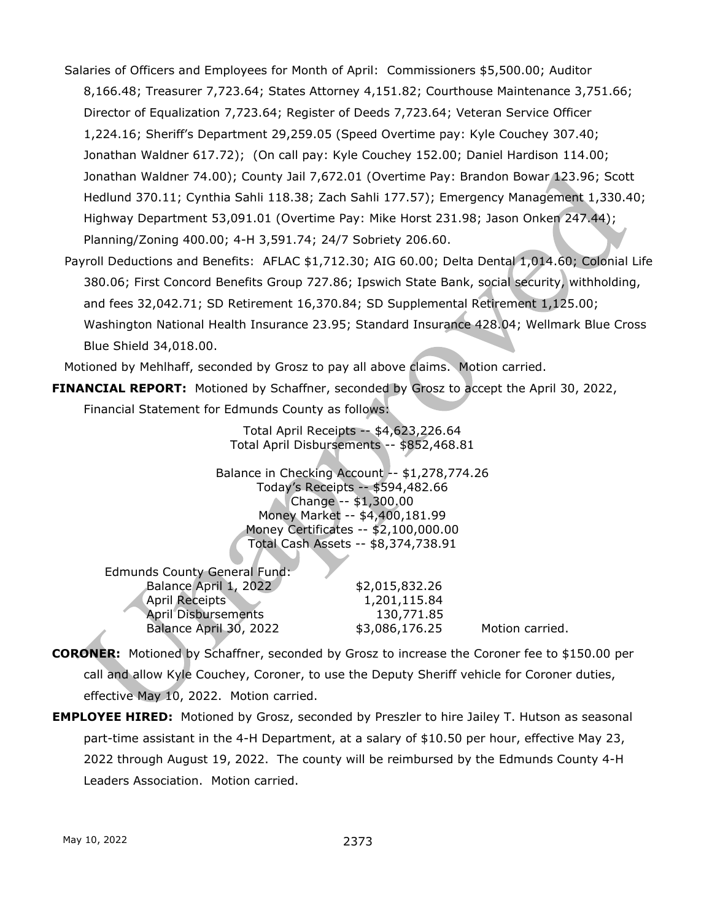- Salaries of Officers and Employees for Month of April: Commissioners \$5,500.00; Auditor 8,166.48; Treasurer 7,723.64; States Attorney 4,151.82; Courthouse Maintenance 3,751.66; Director of Equalization 7,723.64; Register of Deeds 7,723.64; Veteran Service Officer 1,224.16; Sheriff's Department 29,259.05 (Speed Overtime pay: Kyle Couchey 307.40; Jonathan Waldner 617.72); (On call pay: Kyle Couchey 152.00; Daniel Hardison 114.00; Jonathan Waldner 74.00); County Jail 7,672.01 (Overtime Pay: Brandon Bowar 123.96; Scott Hedlund 370.11; Cynthia Sahli 118.38; Zach Sahli 177.57); Emergency Management 1,330.40; Highway Department 53,091.01 (Overtime Pay: Mike Horst 231.98; Jason Onken 247.44); Planning/Zoning 400.00; 4-H 3,591.74; 24/7 Sobriety 206.60.
- Payroll Deductions and Benefits: AFLAC \$1,712.30; AIG 60.00; Delta Dental 1,014.60; Colonial Life 380.06; First Concord Benefits Group 727.86; Ipswich State Bank, social security, withholding, and fees 32,042.71; SD Retirement 16,370.84; SD Supplemental Retirement 1,125.00; Washington National Health Insurance 23.95; Standard Insurance 428.04; Wellmark Blue Cross Blue Shield 34,018.00.

Motioned by Mehlhaff, seconded by Grosz to pay all above claims. Motion carried.

**FINANCIAL REPORT:** Motioned by Schaffner, seconded by Grosz to accept the April 30, 2022,

Financial Statement for Edmunds County as follows:

Total April Receipts -- \$4,623,226.64 Total April Disbursements -- \$852,468.81

Balance in Checking Account -- \$1,278,774.26 Today's Receipts -- \$594,482.66 Change -- \$1,300.00 Money Market -- \$4,400,181.99 Money Certificates -- \$2,100,000.00 Total Cash Assets -- \$8,374,738.91

| Edmunds County General Fund: |                |                 |
|------------------------------|----------------|-----------------|
| Balance April 1, 2022        | \$2,015,832.26 |                 |
| <b>April Receipts</b>        | 1,201,115.84   |                 |
| <b>April Disbursements</b>   | 130,771.85     |                 |
| Balance April 30, 2022       | \$3,086,176.25 | Motion carried. |

- **CORONER:** Motioned by Schaffner, seconded by Grosz to increase the Coroner fee to \$150.00 per call and allow Kyle Couchey, Coroner, to use the Deputy Sheriff vehicle for Coroner duties, effective May 10, 2022. Motion carried.
- **EMPLOYEE HIRED:** Motioned by Grosz, seconded by Preszler to hire Jailey T. Hutson as seasonal part-time assistant in the 4-H Department, at a salary of \$10.50 per hour, effective May 23, 2022 through August 19, 2022. The county will be reimbursed by the Edmunds County 4-H Leaders Association. Motion carried.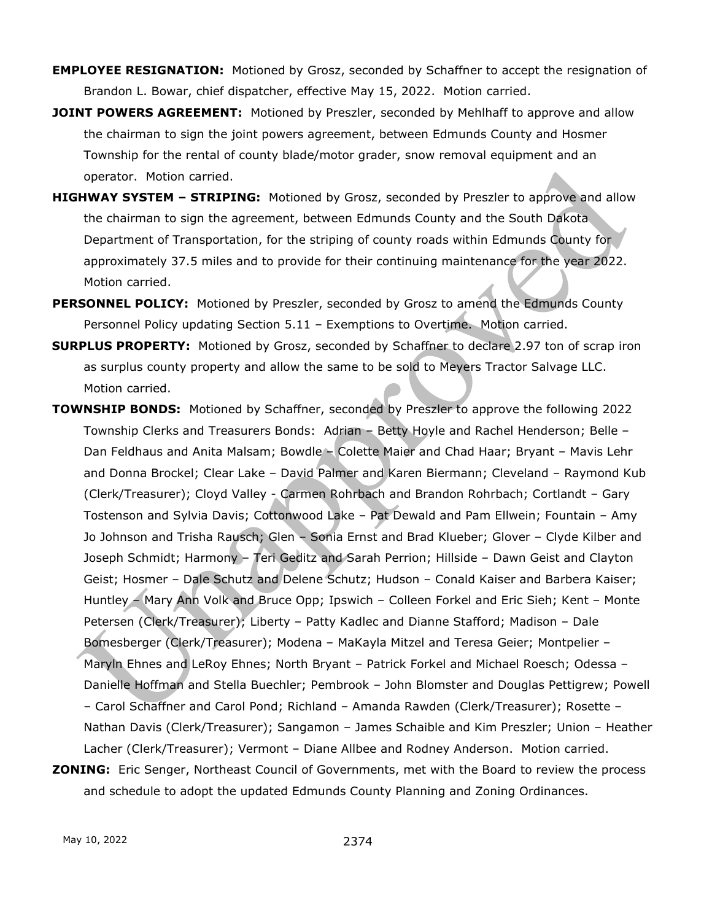- **EMPLOYEE RESIGNATION:** Motioned by Grosz, seconded by Schaffner to accept the resignation of Brandon L. Bowar, chief dispatcher, effective May 15, 2022. Motion carried.
- **JOINT POWERS AGREEMENT:** Motioned by Preszler, seconded by Mehlhaff to approve and allow the chairman to sign the joint powers agreement, between Edmunds County and Hosmer Township for the rental of county blade/motor grader, snow removal equipment and an operator. Motion carried.
- **HIGHWAY SYSTEM – STRIPING:** Motioned by Grosz, seconded by Preszler to approve and allow the chairman to sign the agreement, between Edmunds County and the South Dakota Department of Transportation, for the striping of county roads within Edmunds County for approximately 37.5 miles and to provide for their continuing maintenance for the year 2022. Motion carried.
- **PERSONNEL POLICY:** Motioned by Preszler, seconded by Grosz to amend the Edmunds County Personnel Policy updating Section 5.11 – Exemptions to Overtime. Motion carried.
- **SURPLUS PROPERTY:** Motioned by Grosz, seconded by Schaffner to declare 2.97 ton of scrap iron as surplus county property and allow the same to be sold to Meyers Tractor Salvage LLC. Motion carried.
- **TOWNSHIP BONDS:** Motioned by Schaffner, seconded by Preszler to approve the following 2022 Township Clerks and Treasurers Bonds: Adrian – Betty Hoyle and Rachel Henderson; Belle – Dan Feldhaus and Anita Malsam; Bowdle – Colette Maier and Chad Haar; Bryant – Mavis Lehr and Donna Brockel; Clear Lake – David Palmer and Karen Biermann; Cleveland – Raymond Kub (Clerk/Treasurer); Cloyd Valley - Carmen Rohrbach and Brandon Rohrbach; Cortlandt – Gary Tostenson and Sylvia Davis; Cottonwood Lake – Pat Dewald and Pam Ellwein; Fountain – Amy Jo Johnson and Trisha Rausch; Glen – Sonia Ernst and Brad Klueber; Glover – Clyde Kilber and Joseph Schmidt; Harmony – Teri Geditz and Sarah Perrion; Hillside – Dawn Geist and Clayton Geist; Hosmer – Dale Schutz and Delene Schutz; Hudson – Conald Kaiser and Barbera Kaiser; Huntley – Mary Ann Volk and Bruce Opp; Ipswich – Colleen Forkel and Eric Sieh; Kent – Monte Petersen (Clerk/Treasurer); Liberty – Patty Kadlec and Dianne Stafford; Madison – Dale Bomesberger (Clerk/Treasurer); Modena – MaKayla Mitzel and Teresa Geier; Montpelier – Maryln Ehnes and LeRoy Ehnes; North Bryant – Patrick Forkel and Michael Roesch; Odessa – Danielle Hoffman and Stella Buechler; Pembrook – John Blomster and Douglas Pettigrew; Powell – Carol Schaffner and Carol Pond; Richland – Amanda Rawden (Clerk/Treasurer); Rosette – Nathan Davis (Clerk/Treasurer); Sangamon – James Schaible and Kim Preszler; Union – Heather Lacher (Clerk/Treasurer); Vermont – Diane Allbee and Rodney Anderson. Motion carried.
- **ZONING:** Eric Senger, Northeast Council of Governments, met with the Board to review the process and schedule to adopt the updated Edmunds County Planning and Zoning Ordinances.